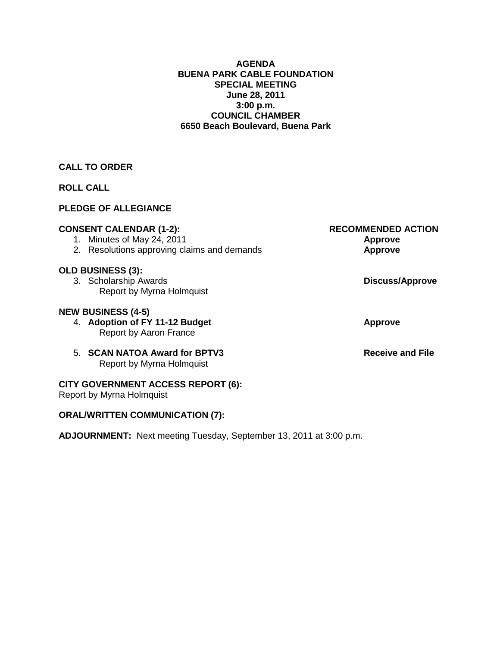#### **AGENDA BUENA PARK CABLE FOUNDATION SPECIAL MEETING June 28, 2011 3:00 p.m. COUNCIL CHAMBER 6650 Beach Boulevard, Buena Park**

# **CALL TO ORDER**

# **ROLL CALL**

# **PLEDGE OF ALLEGIANCE**

| <b>CONSENT CALENDAR (1-2):</b><br>1. Minutes of May 24, 2011<br>2. Resolutions approving claims and demands | <b>RECOMMENDED ACTION</b><br><b>Approve</b><br><b>Approve</b> |
|-------------------------------------------------------------------------------------------------------------|---------------------------------------------------------------|
| <b>OLD BUSINESS (3):</b><br>3. Scholarship Awards<br>Report by Myrna Holmquist                              | <b>Discuss/Approve</b>                                        |
| <b>NEW BUSINESS (4-5)</b><br>4. Adoption of FY 11-12 Budget<br>Report by Aaron France                       | <b>Approve</b>                                                |
| 5. SCAN NATOA Award for BPTV3<br>Report by Myrna Holmquist                                                  | <b>Receive and File</b>                                       |
| <b>CITY GOVERNMENT ACCESS REPORT (6):</b><br>Report by Myrna Holmquist                                      |                                                               |
| <b>ORAL/WRITTEN COMMUNICATION (7):</b>                                                                      |                                                               |

**ADJOURNMENT:** Next meeting Tuesday, September 13, 2011 at 3:00 p.m.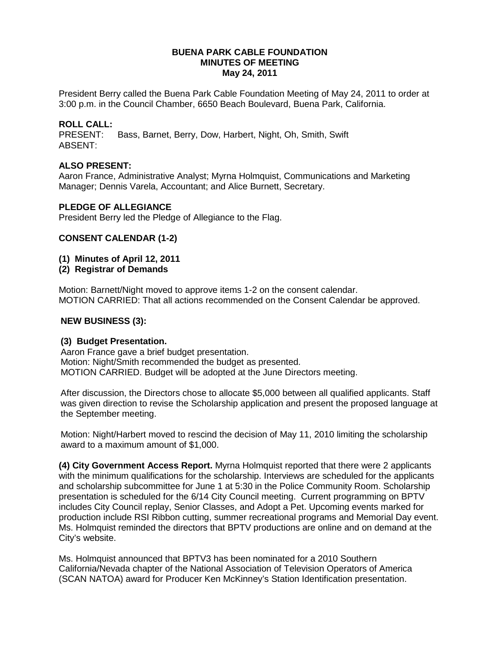#### **BUENA PARK CABLE FOUNDATION MINUTES OF MEETING May 24, 2011**

President Berry called the Buena Park Cable Foundation Meeting of May 24, 2011 to order at 3:00 p.m. in the Council Chamber, 6650 Beach Boulevard, Buena Park, California.

# **ROLL CALL:**

Bass, Barnet, Berry, Dow, Harbert, Night, Oh, Smith, Swift ABSENT:

#### **ALSO PRESENT:**

Aaron France, Administrative Analyst; Myrna Holmquist, Communications and Marketing Manager; Dennis Varela, Accountant; and Alice Burnett, Secretary.

#### **PLEDGE OF ALLEGIANCE**

President Berry led the Pledge of Allegiance to the Flag.

### **CONSENT CALENDAR (1-2)**

#### **(1) Minutes of April 12, 2011**

**(2) Registrar of Demands** 

Motion: Barnett/Night moved to approve items 1-2 on the consent calendar. MOTION CARRIED: That all actions recommended on the Consent Calendar be approved.

#### **NEW BUSINESS (3):**

#### **(3) Budget Presentation.**

Aaron France gave a brief budget presentation. Motion: Night/Smith recommended the budget as presented. MOTION CARRIED. Budget will be adopted at the June Directors meeting.

After discussion, the Directors chose to allocate \$5,000 between all qualified applicants. Staff was given direction to revise the Scholarship application and present the proposed language at the September meeting.

Motion: Night/Harbert moved to rescind the decision of May 11, 2010 limiting the scholarship award to a maximum amount of \$1,000.

**(4) City Government Access Report.** Myrna Holmquist reported that there were 2 applicants with the minimum qualifications for the scholarship. Interviews are scheduled for the applicants and scholarship subcommittee for June 1 at 5:30 in the Police Community Room. Scholarship presentation is scheduled for the 6/14 City Council meeting. Current programming on BPTV includes City Council replay, Senior Classes, and Adopt a Pet. Upcoming events marked for production include RSI Ribbon cutting, summer recreational programs and Memorial Day event. Ms. Holmquist reminded the directors that BPTV productions are online and on demand at the City's website.

Ms. Holmquist announced that BPTV3 has been nominated for a 2010 Southern California/Nevada chapter of the National Association of Television Operators of America (SCAN NATOA) award for Producer Ken McKinney's Station Identification presentation.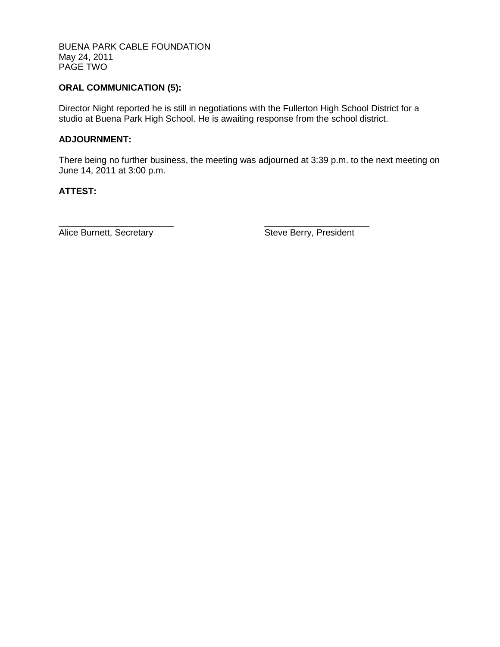BUENA PARK CABLE FOUNDATION May 24, 2011 PAGE TWO

# **ORAL COMMUNICATION (5):**

Director Night reported he is still in negotiations with the Fullerton High School District for a studio at Buena Park High School. He is awaiting response from the school district.

#### **ADJOURNMENT:**

There being no further business, the meeting was adjourned at 3:39 p.m. to the next meeting on June 14, 2011 at 3:00 p.m.

### **ATTEST:**

\_\_\_\_\_\_\_\_\_\_\_\_\_\_\_\_\_\_\_\_\_\_\_ \_\_\_\_\_\_\_\_\_\_\_\_\_\_\_\_\_\_\_\_\_

Alice Burnett, Secretary **Steve Berry, President**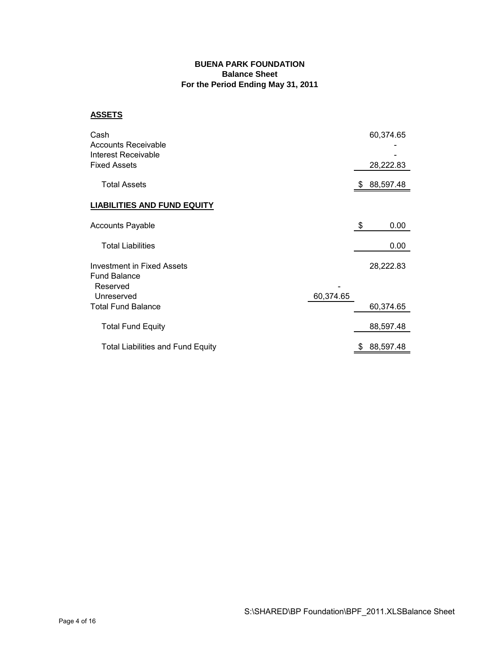#### **BUENA PARK FOUNDATION Balance Sheet For the Period Ending May 31, 2011**

#### **ASSETS**

| Cash<br>Accounts Receivable<br>Interest Receivable<br>Fixed Assets   |           |    | 60,374.65<br>28,222.83 |
|----------------------------------------------------------------------|-----------|----|------------------------|
| <b>Total Assets</b>                                                  |           | S  | 88,597.48              |
| <b>LIABILITIES AND FUND EQUITY</b>                                   |           |    |                        |
| <b>Accounts Payable</b>                                              |           | \$ | 0.00                   |
| <b>Total Liabilities</b>                                             |           |    | 0.00                   |
| <b>Investment in Fixed Assets</b><br><b>Fund Balance</b><br>Reserved |           |    | 28,222.83              |
| Unreserved<br><b>Total Fund Balance</b>                              | 60,374.65 |    | 60,374.65              |
| <b>Total Fund Equity</b>                                             |           |    | 88,597.48              |
| <b>Total Liabilities and Fund Equity</b>                             |           | \$ | 88,597.48              |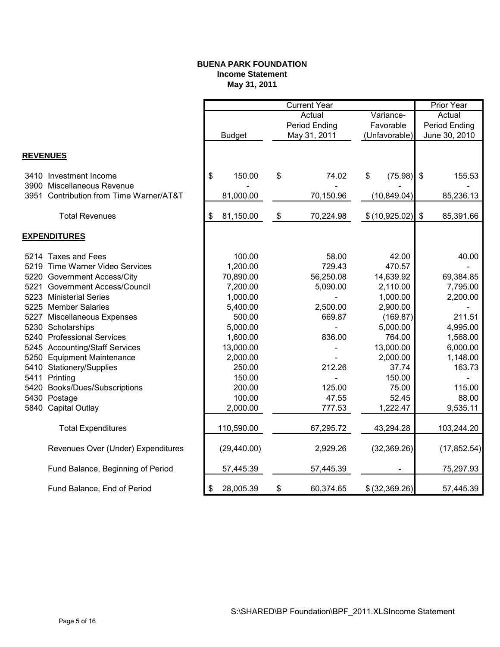#### **BUENA PARK FOUNDATION Income Statement May 31, 2011**

|                 |                                         |                 | <b>Current Year</b> |                    |       | Prior Year    |
|-----------------|-----------------------------------------|-----------------|---------------------|--------------------|-------|---------------|
|                 |                                         |                 | Actual              | Variance-          |       | Actual        |
|                 |                                         |                 | Period Ending       | Favorable          |       | Period Ending |
|                 |                                         | <b>Budget</b>   | May 31, 2011        | (Unfavorable)      |       | June 30, 2010 |
|                 |                                         |                 |                     |                    |       |               |
| <b>REVENUES</b> |                                         |                 |                     |                    |       |               |
|                 | 3410 Investment Income                  | \$<br>150.00    | \$<br>74.02         | \$<br>$(75.98)$ \$ |       | 155.53        |
|                 | 3900 Miscellaneous Revenue              |                 |                     |                    |       |               |
|                 | 3951 Contribution from Time Warner/AT&T | 81,000.00       | 70,150.96           | (10, 849.04)       |       | 85,236.13     |
|                 |                                         |                 |                     |                    |       |               |
|                 | <b>Total Revenues</b>                   | \$<br>81,150.00 | \$<br>70,224.98     | \$(10,925.02)      | $\$\$ | 85,391.66     |
|                 | <b>EXPENDITURES</b>                     |                 |                     |                    |       |               |
|                 | 5214 Taxes and Fees                     | 100.00          | 58.00               | 42.00              |       | 40.00         |
|                 | 5219 Time Warner Video Services         | 1,200.00        | 729.43              | 470.57             |       |               |
|                 | 5220 Government Access/City             | 70,890.00       | 56,250.08           | 14,639.92          |       | 69,384.85     |
|                 | 5221 Government Access/Council          | 7,200.00        | 5,090.00            | 2,110.00           |       | 7,795.00      |
|                 | 5223 Ministerial Series                 | 1,000.00        |                     | 1,000.00           |       | 2,200.00      |
| 5225            | <b>Member Salaries</b>                  | 5,400.00        | 2,500.00            | 2,900.00           |       |               |
|                 | 5227 Miscellaneous Expenses             | 500.00          | 669.87              | (169.87)           |       | 211.51        |
|                 | 5230 Scholarships                       | 5,000.00        |                     | 5,000.00           |       | 4,995.00      |
|                 | 5240 Professional Services              | 1,600.00        | 836.00              | 764.00             |       | 1,568.00      |
|                 | 5245 Accounting/Staff Services          | 13,000.00       |                     | 13,000.00          |       | 6,000.00      |
|                 | 5250 Equipment Maintenance              | 2,000.00        |                     | 2,000.00           |       | 1,148.00      |
|                 | 5410 Stationery/Supplies                | 250.00          | 212.26              | 37.74              |       | 163.73        |
|                 | 5411 Printing                           | 150.00          |                     | 150.00             |       |               |
|                 | 5420 Books/Dues/Subscriptions           | 200.00          | 125.00              | 75.00              |       | 115.00        |
|                 | 5430 Postage                            | 100.00          | 47.55               | 52.45              |       | 88.00         |
|                 | 5840 Capital Outlay                     | 2,000.00        | 777.53              | 1,222.47           |       | 9,535.11      |
|                 |                                         |                 |                     |                    |       |               |
|                 | <b>Total Expenditures</b>               | 110,590.00      | 67,295.72           | 43,294.28          |       | 103,244.20    |
|                 | Revenues Over (Under) Expenditures      | (29, 440.00)    | 2,929.26            | (32, 369.26)       |       | (17, 852.54)  |
|                 | Fund Balance, Beginning of Period       | 57,445.39       | 57,445.39           |                    |       | 75,297.93     |
|                 | Fund Balance, End of Period             | \$<br>28,005.39 | \$<br>60,374.65     | \$ (32, 369.26)    |       | 57,445.39     |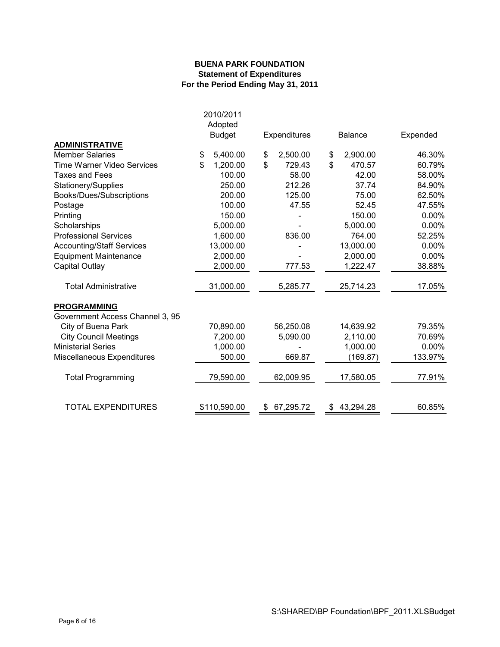#### **BUENA PARK FOUNDATION Statement of Expenditures For the Period Ending May 31, 2011**

|                                   | 2010/2011<br>Adopted<br><b>Budget</b> | Expenditures    | <b>Balance</b> | Expended |
|-----------------------------------|---------------------------------------|-----------------|----------------|----------|
| <b>ADMINISTRATIVE</b>             |                                       |                 |                |          |
| <b>Member Salaries</b>            | \$<br>5,400.00                        | \$<br>2,500.00  | \$<br>2,900.00 | 46.30%   |
| <b>Time Warner Video Services</b> | \$<br>1,200.00                        | \$<br>729.43    | \$<br>470.57   | 60.79%   |
| <b>Taxes and Fees</b>             | 100.00                                | 58.00           | 42.00          | 58.00%   |
| Stationery/Supplies               | 250.00                                | 212.26          | 37.74          | 84.90%   |
| Books/Dues/Subscriptions          | 200.00                                | 125.00          | 75.00          | 62.50%   |
| Postage                           | 100.00                                | 47.55           | 52.45          | 47.55%   |
| Printing                          | 150.00                                |                 | 150.00         | 0.00%    |
| Scholarships                      | 5,000.00                              |                 | 5,000.00       | 0.00%    |
| <b>Professional Services</b>      | 1,600.00                              | 836.00          | 764.00         | 52.25%   |
| <b>Accounting/Staff Services</b>  | 13,000.00                             |                 | 13,000.00      | 0.00%    |
| <b>Equipment Maintenance</b>      | 2,000.00                              |                 | 2,000.00       | 0.00%    |
| Capital Outlay                    | 2,000.00                              | 777.53          | 1,222.47       | 38.88%   |
| <b>Total Administrative</b>       | 31,000.00                             | 5,285.77        | 25,714.23      | 17.05%   |
| <b>PROGRAMMING</b>                |                                       |                 |                |          |
| Government Access Channel 3, 95   |                                       |                 |                |          |
| City of Buena Park                | 70,890.00                             | 56,250.08       | 14,639.92      | 79.35%   |
| <b>City Council Meetings</b>      | 7,200.00                              | 5,090.00        | 2,110.00       | 70.69%   |
| <b>Ministerial Series</b>         | 1,000.00                              |                 | 1,000.00       | 0.00%    |
| Miscellaneous Expenditures        | 500.00                                | 669.87          | (169.87)       | 133.97%  |
| <b>Total Programming</b>          | 79,590.00                             | 62,009.95       | 17,580.05      | 77.91%   |
| TOTAL EXPENDITURES                | \$110,590.00                          | 67,295.72<br>\$ | 43,294.28      | 60.85%   |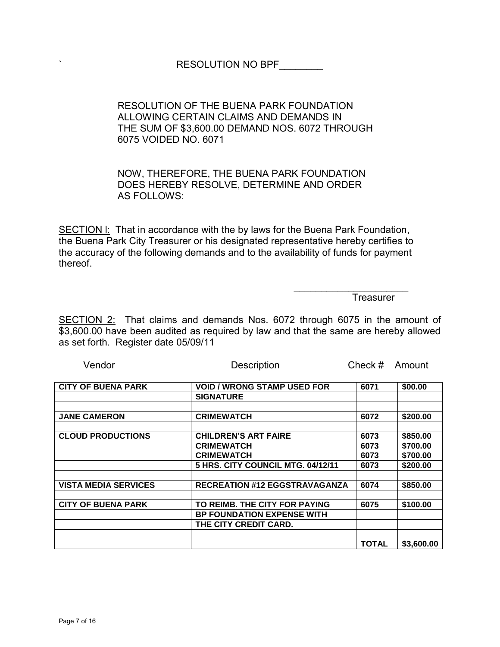# ` RESOLUTION NO BPF\_\_\_\_\_\_\_\_

# RESOLUTION OF THE BUENA PARK FOUNDATION ALLOWING CERTAIN CLAIMS AND DEMANDS IN THE SUM OF \$3,600.00 DEMAND NOS. 6072 THROUGH 6075 VOIDED NO. 6071

# NOW, THEREFORE, THE BUENA PARK FOUNDATION DOES HEREBY RESOLVE, DETERMINE AND ORDER AS FOLLOWS:

SECTION I: That in accordance with the by laws for the Buena Park Foundation, the Buena Park City Treasurer or his designated representative hereby certifies to the accuracy of the following demands and to the availability of funds for payment thereof.

 $\mathcal{L}_\mathcal{L} = \{ \mathcal{L}_\mathcal{L} \mid \mathcal{L}_\mathcal{L} \in \mathcal{L}_\mathcal{L} \}$  , where  $\mathcal{L}_\mathcal{L} = \{ \mathcal{L}_\mathcal{L} \mid \mathcal{L}_\mathcal{L} \in \mathcal{L}_\mathcal{L} \}$ 

**Treasurer** 

SECTION 2: That claims and demands Nos. 6072 through 6075 in the amount of \$3,600.00 have been audited as required by law and that the same are hereby allowed as set forth. Register date 05/09/11

| <b>CITY OF BUENA PARK</b>   | <b>VOID / WRONG STAMP USED FOR</b>   | 6071         | \$00.00    |
|-----------------------------|--------------------------------------|--------------|------------|
|                             | <b>SIGNATURE</b>                     |              |            |
|                             |                                      |              |            |
| <b>JANE CAMERON</b>         | <b>CRIMEWATCH</b>                    | 6072         | \$200.00   |
|                             |                                      |              |            |
| <b>CLOUD PRODUCTIONS</b>    | <b>CHILDREN'S ART FAIRE</b>          | 6073         | \$850.00   |
|                             | <b>CRIMEWATCH</b>                    | 6073         | \$700.00   |
|                             | <b>CRIMEWATCH</b>                    | 6073         | \$700.00   |
|                             | 5 HRS. CITY COUNCIL MTG. 04/12/11    | 6073         | \$200.00   |
|                             |                                      |              |            |
| <b>VISTA MEDIA SERVICES</b> | <b>RECREATION #12 EGGSTRAVAGANZA</b> | 6074         | \$850.00   |
|                             |                                      |              |            |
| <b>CITY OF BUENA PARK</b>   | TO REIMB. THE CITY FOR PAYING        | 6075         | \$100.00   |
|                             | <b>BP FOUNDATION EXPENSE WITH</b>    |              |            |
|                             | THE CITY CREDIT CARD.                |              |            |
|                             |                                      |              |            |
|                             |                                      | <b>TOTAL</b> | \$3,600.00 |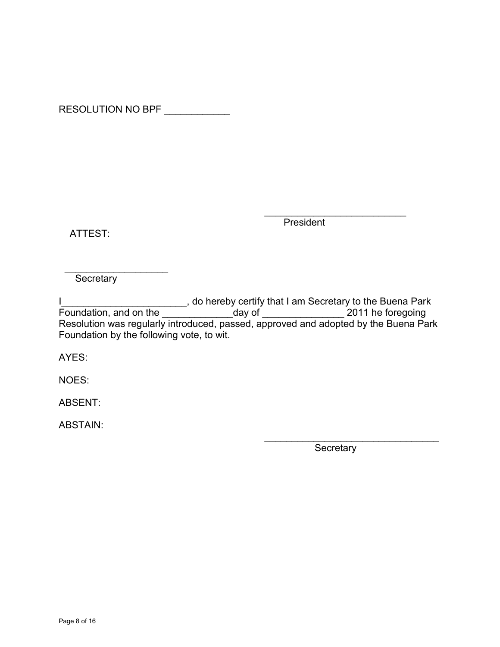RESOLUTION NO BPF \_\_\_\_\_\_\_\_\_\_\_\_\_

ATTEST:

 $\mathcal{L}_\text{max}$  and  $\mathcal{L}_\text{max}$  and  $\mathcal{L}_\text{max}$  and  $\mathcal{L}_\text{max}$  and  $\mathcal{L}_\text{max}$ **President** 

\_\_\_\_\_\_\_\_\_\_\_\_\_\_\_\_\_\_\_ **Secretary** 

I\_\_\_\_\_\_\_\_\_\_\_\_\_\_\_\_\_\_\_\_\_\_\_\_\_\_, do hereby certify that I am Secretary to the Buena Park Foundation, and on the \_\_\_\_\_\_\_\_\_\_\_\_\_\_\_\_\_day of \_\_\_\_\_\_\_\_\_\_\_\_\_\_\_\_\_\_\_\_ 2011 he foregoing Resolution was regularly introduced, passed, approved and adopted by the Buena Park Foundation by the following vote, to wit.

AYES:

NOES:

ABSENT:

ABSTAIN: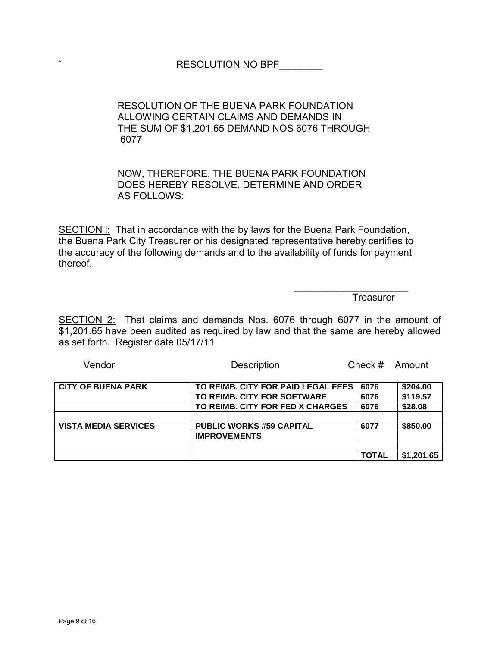# RESOLUTION OF THE BUENA PARK FOUNDATION ALLOWING CERTAIN CLAIMS AND DEMANDS IN THE SUM OF \$1,201.65 DEMAND NOS 6076 THROUGH 6077

# NOW, THEREFORE, THE BUENA PARK FOUNDATION DOES HEREBY RESOLVE, DETERMINE AND ORDER AS FOLLOWS:

SECTION I: That in accordance with the by laws for the Buena Park Foundation, the Buena Park City Treasurer or his designated representative hereby certifies to the accuracy of the following demands and to the availability of funds for payment thereof.

 $\mathcal{L}_\mathcal{L} = \{ \mathcal{L}_\mathcal{L} \mid \mathcal{L}_\mathcal{L} \in \mathcal{L}_\mathcal{L} \}$  , where  $\mathcal{L}_\mathcal{L} = \{ \mathcal{L}_\mathcal{L} \mid \mathcal{L}_\mathcal{L} \in \mathcal{L}_\mathcal{L} \}$ 

**Treasurer** 

SECTION 2: That claims and demands Nos. 6076 through 6077 in the amount of \$1,201.65 have been audited as required by law and that the same are hereby allowed as set forth. Register date 05/17/11

| <b>CITY OF BUENA PARK</b>   | TO REIMB. CITY FOR PAID LEGAL FEES I | 6076         | \$204.00   |
|-----------------------------|--------------------------------------|--------------|------------|
|                             | TO REIMB. CITY FOR SOFTWARE          | 6076         | \$119.57   |
|                             | TO REIMB. CITY FOR FED X CHARGES     | 6076         | \$28.08    |
|                             |                                      |              |            |
| <b>VISTA MEDIA SERVICES</b> | <b>PUBLIC WORKS #59 CAPITAL</b>      | 6077         | \$850.00   |
|                             | <b>IMPROVEMENTS</b>                  |              |            |
|                             |                                      |              |            |
|                             |                                      | <b>TOTAL</b> | \$1,201.65 |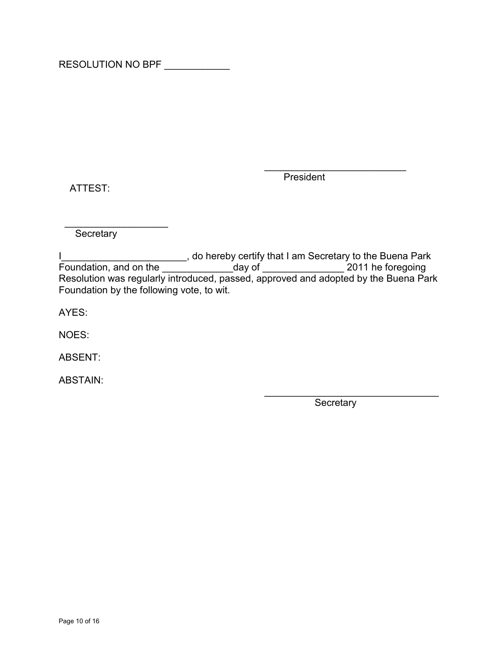RESOLUTION NO BPF \_\_\_\_\_\_\_\_\_\_\_\_

ATTEST:

 $\mathcal{L}_\text{max}$  and  $\mathcal{L}_\text{max}$  and  $\mathcal{L}_\text{max}$  and  $\mathcal{L}_\text{max}$  and  $\mathcal{L}_\text{max}$ President

\_\_\_\_\_\_\_\_\_\_\_\_\_\_\_\_\_\_\_ **Secretary** 

I\_\_\_\_\_\_\_\_\_\_\_\_\_\_\_\_\_\_\_\_\_\_\_\_\_\_, do hereby certify that I am Secretary to the Buena Park Foundation, and on the \_\_\_\_\_\_\_\_\_\_\_\_\_\_\_\_\_day of \_\_\_\_\_\_\_\_\_\_\_\_\_\_\_\_\_\_\_\_ 2011 he foregoing Resolution was regularly introduced, passed, approved and adopted by the Buena Park Foundation by the following vote, to wit.

AYES:

NOES:

ABSENT:

ABSTAIN: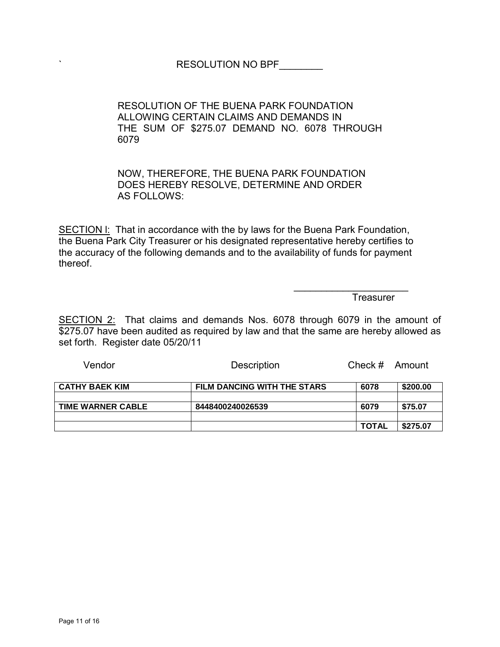# RESOLUTION NO BPF\_\_\_\_\_

RESOLUTION OF THE BUENA PARK FOUNDATION ALLOWING CERTAIN CLAIMS AND DEMANDS IN THE SUM OF \$275.07 DEMAND NO. 6078 THROUGH 6079

NOW, THEREFORE, THE BUENA PARK FOUNDATION DOES HEREBY RESOLVE, DETERMINE AND ORDER AS FOLLOWS:

SECTION I: That in accordance with the by laws for the Buena Park Foundation, the Buena Park City Treasurer or his designated representative hereby certifies to the accuracy of the following demands and to the availability of funds for payment thereof.

 $\mathcal{L}_\mathcal{L} = \{ \mathcal{L}_\mathcal{L} \mid \mathcal{L}_\mathcal{L} \in \mathcal{L}_\mathcal{L} \}$  , where  $\mathcal{L}_\mathcal{L} = \{ \mathcal{L}_\mathcal{L} \mid \mathcal{L}_\mathcal{L} \in \mathcal{L}_\mathcal{L} \}$ 

**Treasurer** 

SECTION 2: That claims and demands Nos. 6078 through 6079 in the amount of \$275.07 have been audited as required by law and that the same are hereby allowed as set forth. Register date 05/20/11

| <b>CATHY BAEK KIM</b>    | FILM DANCING WITH THE STARS | 6078         | \$200.00 |
|--------------------------|-----------------------------|--------------|----------|
|                          |                             |              |          |
| <b>TIME WARNER CABLE</b> | 8448400240026539            | 6079         | \$75.07  |
|                          |                             |              |          |
|                          |                             | <b>TOTAL</b> | \$275.07 |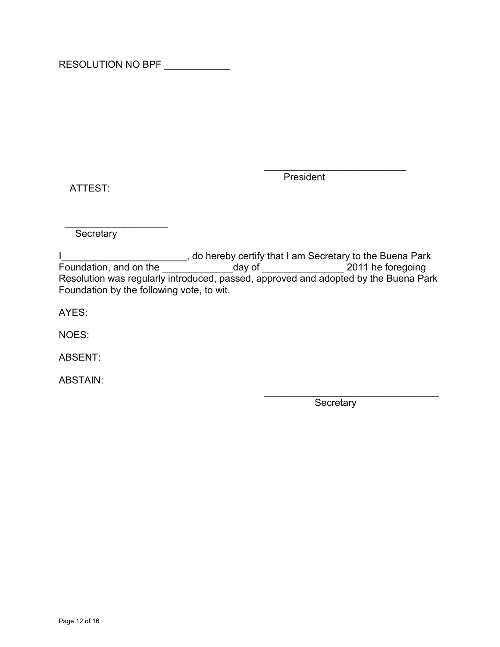RESOLUTION NO BPF \_\_\_\_\_\_\_\_\_\_\_\_

ATTEST:

 $\mathcal{L}_\text{max}$  and  $\mathcal{L}_\text{max}$  and  $\mathcal{L}_\text{max}$  and  $\mathcal{L}_\text{max}$  and  $\mathcal{L}_\text{max}$ President

\_\_\_\_\_\_\_\_\_\_\_\_\_\_\_\_\_\_\_ **Secretary** 

I\_\_\_\_\_\_\_\_\_\_\_\_\_\_\_\_\_\_\_\_\_\_\_\_\_\_, do hereby certify that I am Secretary to the Buena Park Foundation, and on the \_\_\_\_\_\_\_\_\_\_\_\_\_\_\_\_\_day of \_\_\_\_\_\_\_\_\_\_\_\_\_\_\_\_\_\_\_\_ 2011 he foregoing Resolution was regularly introduced, passed, approved and adopted by the Buena Park Foundation by the following vote, to wit.

AYES:

NOES:

ABSENT:

ABSTAIN: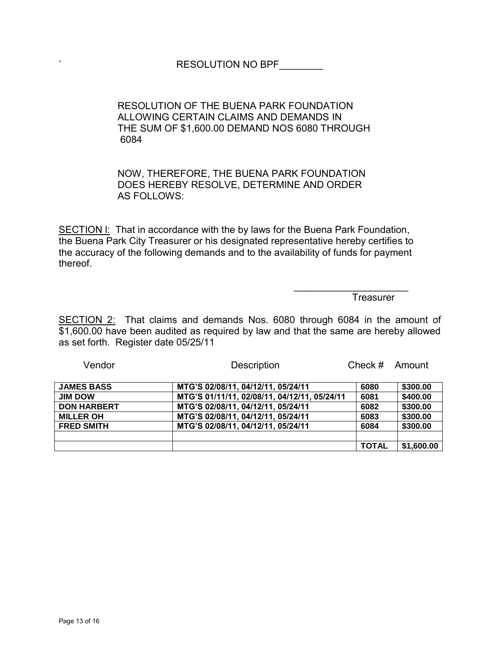# RESOLUTION OF THE BUENA PARK FOUNDATION ALLOWING CERTAIN CLAIMS AND DEMANDS IN THE SUM OF \$1,600.00 DEMAND NOS 6080 THROUGH 6084

# NOW, THEREFORE, THE BUENA PARK FOUNDATION DOES HEREBY RESOLVE, DETERMINE AND ORDER AS FOLLOWS:

SECTION I: That in accordance with the by laws for the Buena Park Foundation, the Buena Park City Treasurer or his designated representative hereby certifies to the accuracy of the following demands and to the availability of funds for payment thereof.

 $\mathcal{L}_\mathcal{L} = \{ \mathcal{L}_\mathcal{L} \mid \mathcal{L}_\mathcal{L} \in \mathcal{L}_\mathcal{L} \}$  , where  $\mathcal{L}_\mathcal{L} = \{ \mathcal{L}_\mathcal{L} \mid \mathcal{L}_\mathcal{L} \in \mathcal{L}_\mathcal{L} \}$ 

**Treasurer** 

SECTION 2: That claims and demands Nos. 6080 through 6084 in the amount of \$1,600.00 have been audited as required by law and that the same are hereby allowed as set forth. Register date 05/25/11

| <b>JAMES BASS</b>  | MTG'S 02/08/11, 04/12/11, 05/24/11           | 6080         | \$300.00   |
|--------------------|----------------------------------------------|--------------|------------|
| <b>JIM DOW</b>     | MTG'S 01/11/11, 02/08/11, 04/12/11, 05/24/11 | 6081         | \$400.00   |
| <b>DON HARBERT</b> | MTG'S 02/08/11, 04/12/11, 05/24/11           | 6082         | \$300.00   |
| <b>MILLER OH</b>   | MTG'S 02/08/11, 04/12/11, 05/24/11           | 6083         | \$300.00   |
| <b>FRED SMITH</b>  | MTG'S 02/08/11, 04/12/11, 05/24/11           | 6084         | \$300.00   |
|                    |                                              |              |            |
|                    |                                              | <b>TOTAL</b> | \$1,600.00 |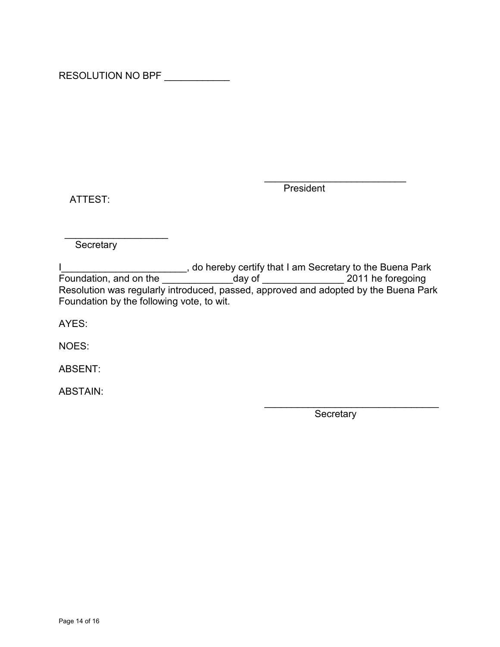RESOLUTION NO BPF \_\_\_\_\_\_\_\_\_\_\_

ATTEST:

 $\overline{\phantom{a}}$  , and the contract of the contract of the contract of the contract of the contract of the contract of the contract of the contract of the contract of the contract of the contract of the contract of the contrac President

\_\_\_\_\_\_\_\_\_\_\_\_\_\_\_\_\_\_\_ **Secretary** 

I\_\_\_\_\_\_\_\_\_\_\_\_\_\_\_\_\_\_\_\_\_\_\_\_\_\_, do hereby certify that I am Secretary to the Buena Park Foundation, and on the \_\_\_\_\_\_\_\_\_\_\_\_\_\_\_\_\_day of \_\_\_\_\_\_\_\_\_\_\_\_\_\_\_\_\_\_\_\_ 2011 he foregoing Resolution was regularly introduced, passed, approved and adopted by the Buena Park Foundation by the following vote, to wit.

AYES:

NOES:

ABSENT:

ABSTAIN: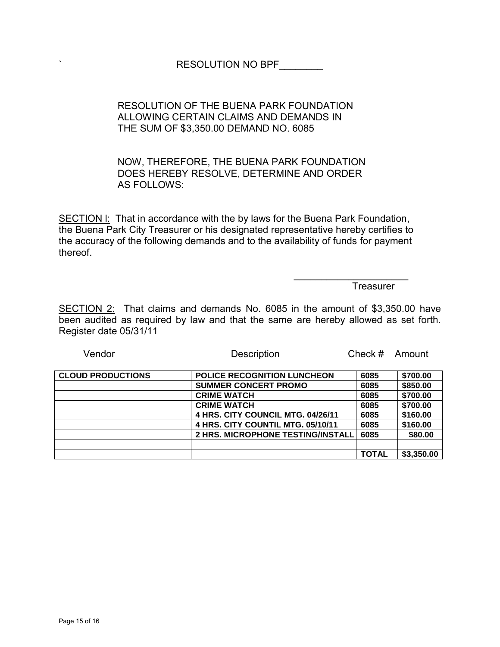# ` RESOLUTION NO BPF\_\_\_\_\_\_\_\_

# RESOLUTION OF THE BUENA PARK FOUNDATION ALLOWING CERTAIN CLAIMS AND DEMANDS IN THE SUM OF \$3,350.00 DEMAND NO. 6085

# NOW, THEREFORE, THE BUENA PARK FOUNDATION DOES HEREBY RESOLVE, DETERMINE AND ORDER AS FOLLOWS:

SECTION I: That in accordance with the by laws for the Buena Park Foundation, the Buena Park City Treasurer or his designated representative hereby certifies to the accuracy of the following demands and to the availability of funds for payment thereof.

 $\mathcal{L}_\text{max}$  , which is a set of the set of the set of the set of the set of the set of the set of the set of the set of the set of the set of the set of the set of the set of the set of the set of the set of the set of

Treasurer

SECTION 2: That claims and demands No. 6085 in the amount of \$3,350.00 have been audited as required by law and that the same are hereby allowed as set forth. Register date 05/31/11

| <b>CLOUD PRODUCTIONS</b> | <b>POLICE RECOGNITION LUNCHEON</b> | 6085         | \$700.00   |
|--------------------------|------------------------------------|--------------|------------|
|                          | <b>SUMMER CONCERT PROMO</b>        | 6085         | \$850.00   |
|                          | <b>CRIME WATCH</b>                 | 6085         | \$700.00   |
|                          | <b>CRIME WATCH</b>                 | 6085         | \$700.00   |
|                          | 4 HRS. CITY COUNCIL MTG. 04/26/11  | 6085         | \$160.00   |
|                          | 4 HRS. CITY COUNTIL MTG. 05/10/11  | 6085         | \$160.00   |
|                          | 2 HRS. MICROPHONE TESTING/INSTALL  | 6085         | \$80.00    |
|                          |                                    |              |            |
|                          |                                    | <b>TOTAL</b> | \$3,350.00 |